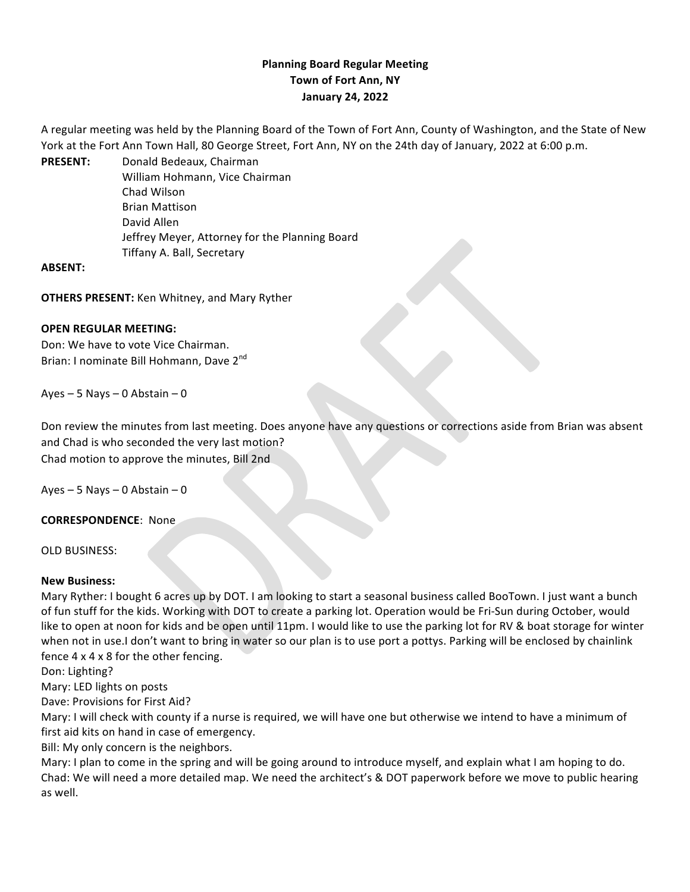# **Planning Board Regular Meeting Town of Fort Ann, NY January 24, 2022**

A regular meeting was held by the Planning Board of the Town of Fort Ann, County of Washington, and the State of New York at the Fort Ann Town Hall, 80 George Street, Fort Ann, NY on the 24th day of January, 2022 at 6:00 p.m.

PRESENT: Donald Bedeaux, Chairman William Hohmann, Vice Chairman Chad Wilson Brian Mattison David Allen Jeffrey Meyer, Attorney for the Planning Board Tiffany A. Ball, Secretary

### **ABSENT:**

**OTHERS PRESENT:** Ken Whitney, and Mary Ryther

### **OPEN REGULAR MEETING:**

Don: We have to vote Vice Chairman. Brian: I nominate Bill Hohmann, Dave 2<sup>nd</sup>

Ayes – 5 Nays – 0 Abstain – 0

Don review the minutes from last meeting. Does anyone have any questions or corrections aside from Brian was absent and Chad is who seconded the very last motion? Chad motion to approve the minutes, Bill 2nd

Ayes – 5 Nays – 0 Abstain – 0

### **CORRESPONDENCE:** None

OLD BUSINESS:

### **New Business:**

Mary Ryther: I bought 6 acres up by DOT. I am looking to start a seasonal business called BooTown. I just want a bunch of fun stuff for the kids. Working with DOT to create a parking lot. Operation would be Fri-Sun during October, would like to open at noon for kids and be open until 11pm. I would like to use the parking lot for RV & boat storage for winter when not in use.I don't want to bring in water so our plan is to use port a pottys. Parking will be enclosed by chainlink fence  $4 \times 4 \times 8$  for the other fencing.

Don: Lighting?

Mary: LED lights on posts

Dave: Provisions for First Aid?

Mary: I will check with county if a nurse is required, we will have one but otherwise we intend to have a minimum of first aid kits on hand in case of emergency.

Bill: My only concern is the neighbors.

Mary: I plan to come in the spring and will be going around to introduce myself, and explain what I am hoping to do. Chad: We will need a more detailed map. We need the architect's & DOT paperwork before we move to public hearing as well.